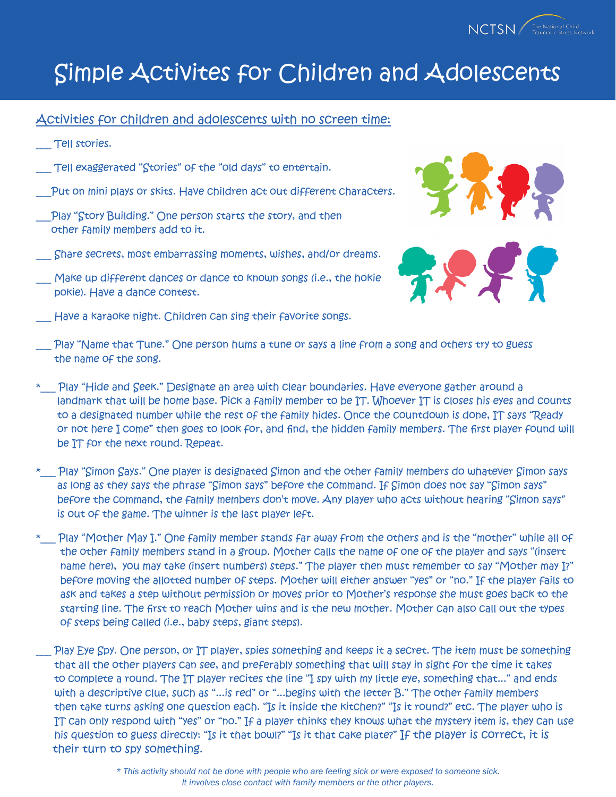

Activities for children and adolescents with no screen time:

- Tell stories.
- Tell exaggerated "Stories" of the "old days" to entertain.
- \_\_\_Put on mini plays or skits. Have children act out different characters.
- \_\_\_Play "Story Building." One person starts the story, and then other family members add to it.
- \_\_\_ Share secrets, most embarrassing moments, wishes, and/or dreams.
- Make up different dances or dance to known songs (i.e., the hokie pokie). Have a dance contest.
- Have a karaoke night. Children can sing their favorite songs.



- Play "Name that Tune." One person hums a tune or says a line from a song and others try to guess the name of the song.
- \*\_\_\_ Play "Hide and Seek." Designate an area with clear boundaries. Have everyone gather around a landmark that will be home base. Pick a family member to be IT. Whoever IT is closes his eyes and counts to a designated number while the rest of the family hides. Once the countdown is done, IT says "Ready or not here I come" then goes to look for, and find, the hidden family members. The first player found will be IT for the next round. Repeat.
- \* Play "Simon Says." One player is designated Simon and the other family members do whatever Simon says as long as they says the phrase "Simon says" before the command. If Simon does not say "Simon says" before the command, the family members don't move. Any player who acts without hearing "Simon says" is out of the game. The winner is the last player left.
- \* Play "Mother May I." One family member stands far away from the others and is the "mother" while all of the other family members stand in a group. Mother calls the name of one of the player and says "(insert name here), you may take (insert numbers) steps." The player then must remember to say "Mother may I?" before moving the allotted number of steps. Mother will either answer "yes" or "no." If the player fails to ask and takes a step without permission or moves prior to Mother's response she must goes back to the starting line. The first to reach Mother wins and is the new mother. Mother can also call out the types of steps being called (i.e., baby steps, giant steps).
- Play Eye Spy. One person, or IT player, spies something and keeps it a secret. The item must be something that all the other players can see, and preferably something that will stay in sight for the time it takes to complete a round. The IT player recites the line "I spy with my little eye, something that..." and ends with a descriptive clue, such as "...is red" or "...begins with the letter B." The other family members then take turns asking one question each. "Is it inside the kitchen?" "Is it round?" etc. The player who is IT can only respond with "yes" or "no." If a player thinks they knows what the mystery item is, they can use his question to guess directly: "Is it that bowl?" "Is it that cake plate?" If the player is correct, it is their turn to spy something.

*<sup>\*</sup> This activity should not be done with people who are feeling sick or were exposed to someone sick. It involves close contact with family members or the other players.*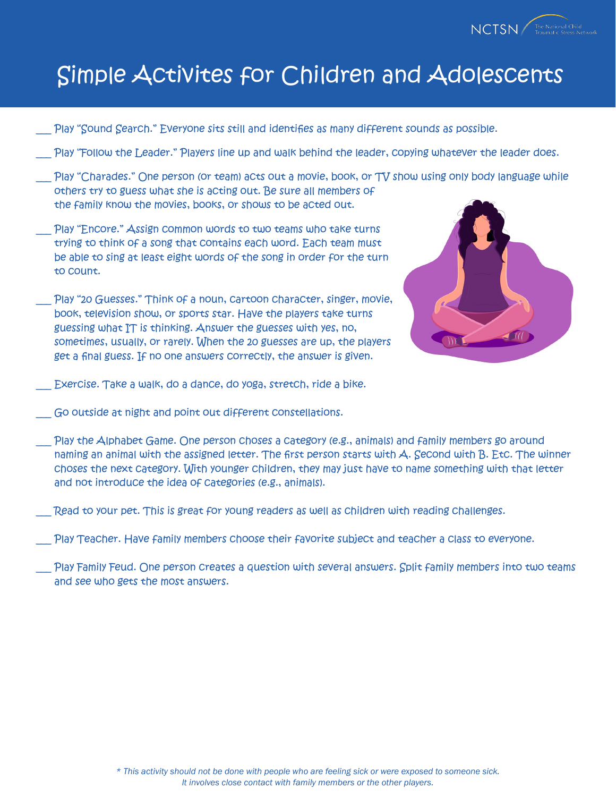

- Play "Sound Search." Everyone sits still and identifies as many different sounds as possible.
- Play "Follow the Leader." Players line up and walk behind the leader, copying whatever the leader does.
- Play "Charades." One person (or team) acts out a movie, book, or TV show using only body language while others try to guess what she is acting out. Be sure all members of the family know the movies, books, or shows to be acted out.
- Play "Encore." Assign common words to two teams who take turns trying to think of a song that contains each word. Each team must be able to sing at least eight words of the song in order for the turn to count.
- Play "20 Guesses." Think of a noun, cartoon character, singer, movie, book, television show, or sports star. Have the players take turns guessing what IT is thinking. Answer the guesses with yes, no, sometimes, usually, or rarely. When the 20 guesses are up, the players get a final guess. If no one answers correctly, the answer is given.



- Exercise. Take a walk, do a dance, do yoga, stretch, ride a bike.
- Go outside at night and point out different constellations.
- Play the Alphabet Game. One person choses a category (e.g., animals) and family members go around naming an animal with the assigned letter. The first person starts with A. Second with B. Etc. The winner choses the next category. With younger children, they may just have to name something with that letter and not introduce the idea of categories (e.g., animals).
- Read to your pet. This is great for young readers as well as children with reading challenges.
- Play Teacher. Have family members choose their favorite subject and teacher a class to everyone.
- Play Family Feud. One person creates a question with several answers. Split family members into two teams and see who gets the most answers.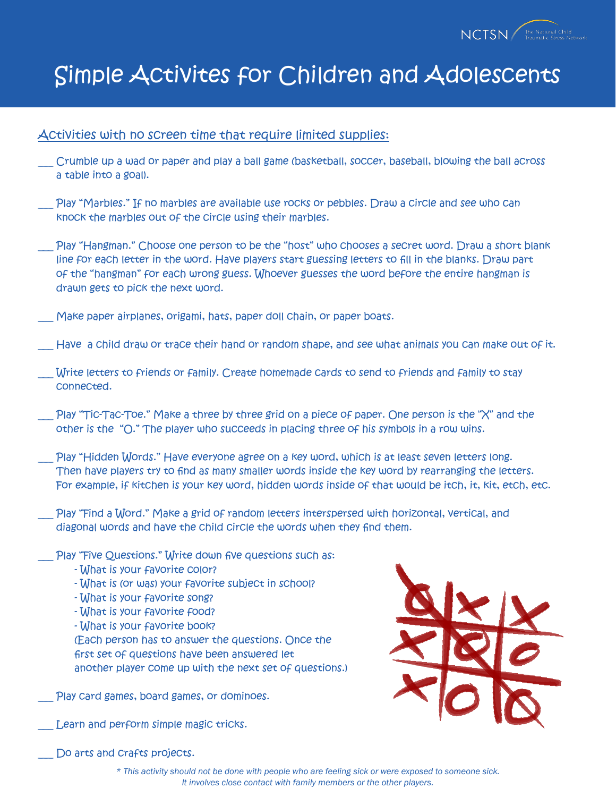

### Activities with no screen time that require limited supplies:

- \_\_\_ Crumble up a wad or paper and play a ball game (basketball, soccer, baseball, blowing the ball across a table into a goal).
- Play "Marbles." If no marbles are available use rocks or pebbles. Draw a circle and see who can knock the marbles out of the circle using their marbles.
- Play "Hangman." Choose one person to be the "host" who chooses a secret word. Draw a short blank line for each letter in the word. Have players start guessing letters to fill in the blanks. Draw part of the "hangman" for each wrong guess. Whoever guesses the word before the entire hangman is drawn gets to pick the next word.
- Make paper airplanes, origami, hats, paper doll chain, or paper boats.
- Have a child draw or trace their hand or random shape, and see what animals you can make out of it.
- Write letters to friends or family. Create homemade cards to send to friends and family to stay connected.
- Play "Tic-Tac-Toe." Make a three by three grid on a piece of paper. One person is the "X" and the other is the "O." The player who succeeds in placing three of his symbols in a row wins.
- Play "Hidden Words." Have everyone agree on a key word, which is at least seven letters long. Then have players try to find as many smaller words inside the key word by rearranging the letters. For example, if kitchen is your key word, hidden words inside of that would be itch, it, kit, etch, etc.
- Play "Find a Word." Make a grid of random letters interspersed with horizontal, vertical, and diagonal words and have the child circle the words when they find them.
- Play "Five Questions." Write down five questions such as:
	- What is your favorite color?
	- What is (or was) your favorite subject in school?
	- What is your favorite song?
	- What is your favorite food?
	- What is your favorite book?

(Each person has to answer the questions. Once the first set of questions have been answered let another player come up with the next set of questions.)

- Play card games, board games, or dominoes.
- Learn and perform simple magic tricks.



Do arts and Crafts projects.

*\* This activity should not be done with people who are feeling sick or were exposed to someone sick. It involves close contact with family members or the other players.*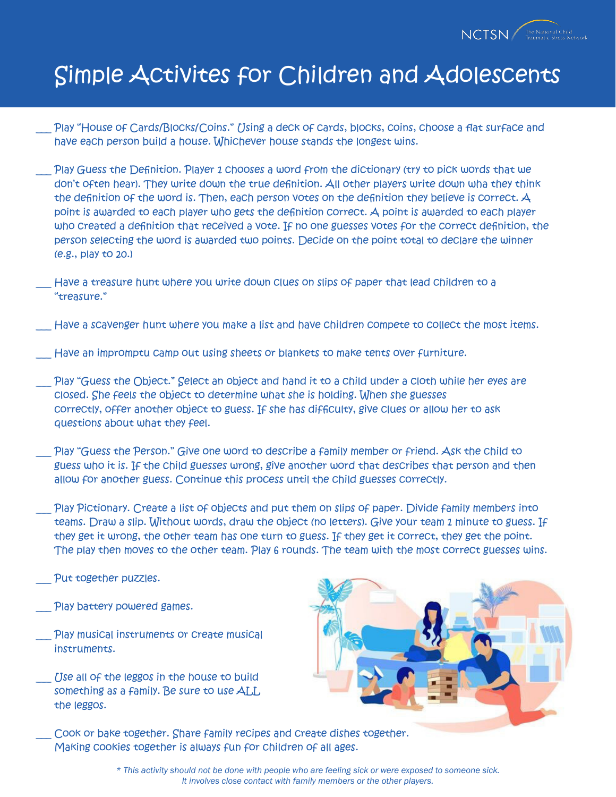

Play "House of Cards/Blocks/Coins." Using a deck of cards, blocks, coins, choose a flat surface and have each person build a house. Whichever house stands the longest wins.

Play Guess the Definition. Player 1 chooses a word from the dictionary (try to pick words that we don't often hear). They write down the true definition. All other players write down wha they think the definition of the word is. Then, each person votes on the definition they believe is correct. A point is awarded to each player who gets the definition correct. A point is awarded to each player who created a definition that received a vote. If no one guesses votes for the correct definition, the person selecting the word is awarded two points. Decide on the point total to declare the winner (e.g., play to 20.)

Have a treasure hunt where you write down clues on slips of paper that lead children to a "treasure."

Have a scavenger hunt where you make a list and have children compete to collect the most items.

Have an impromptu camp out using sheets or blankets to make tents over furniture.

Play "Guess the Object." Select an object and hand it to a child under a cloth while her eyes are closed. She feels the object to determine what she is holding. When she guesses correctly, offer another object to guess. If she has difficulty, give clues or allow her to ask questions about what they feel.

Play "Guess the Person." Give one word to describe a family member or friend. Ask the child to guess who it is. If the child guesses wrong, give another word that describes that person and then allow for another guess. Continue this process until the child guesses correctly.

Play Pictionary. Create a list of objects and put them on slips of paper. Divide family members into teams. Draw a slip. Without words, draw the object (no letters). Give your team 1 minute to guess. If they get it wrong, the other team has one turn to guess. If they get it correct, they get the point. The play then moves to the other team. Play 6 rounds. The team with the most correct guesses wins.

Put together puzzles.

- Play battery powered games.
- Play musical instruments or create musical instruments.

Use all of the leggos in the house to build something as a family. Be sure to use ALL the leggos.



Cook or bake together. Share family recipes and create dishes together. Making cookies together is always fun for children of all ages.

> *\* This activity should not be done with people who are feeling sick or were exposed to someone sick. It involves close contact with family members or the other players.*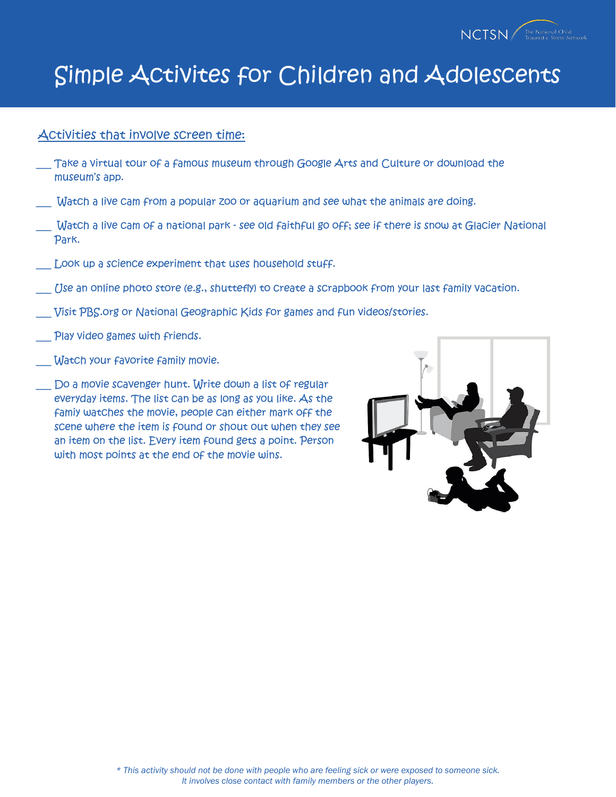

#### Activities that involve screen time:

- Take a virtual tour of a famous museum through Google Arts and Culture or download the museum's app.
- Watch a live cam from a popular zoo or aquarium and see what the animals are doing.
- \_\_\_ Watch a live cam of a national park see old faithful go off; see if there is snow at Glacier National Park.
- Look up a science experiment that uses household stuff.
- Use an online photo store (e.g., shuttefly) to create a scrapbook from your last family vacation.
- \_\_\_ Visit PBS.org or National Geographic Kids for games and fun videos/stories.
- Play video games with friends.
- Watch your favorite family movie.
- Do a movie scavenger hunt. Write down a list of regular everyday items. The list can be as long as you like. As the famiy watches the movie, people can either mark off the scene where the item is found or shout out when they see an item on the list. Every item found gets a point. Person with most points at the end of the movie wins.

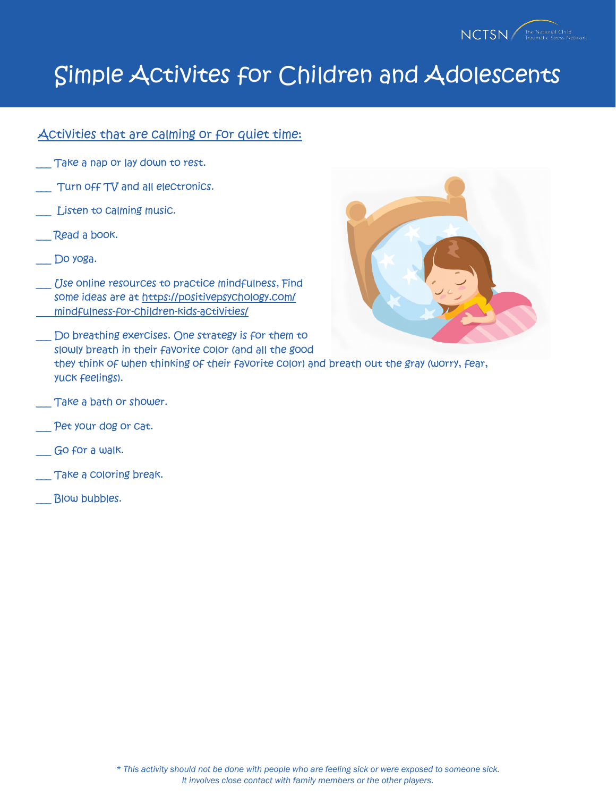

#### Activities that are calming or for quiet time:

- Take a nap or lay down to rest.
- Turn off TV and all electronics.
- Listen to calming music.
- Read a book.
- Do yoga.
- Use online resources to practice mindfulness, Find some ideas are at https://positivepsychology.com/ mindfulness-for-children-kids-activities/



- Do breathing exercises. One strategy is for them to slowly breath in their favorite color (and all the good they think of when thinking of their favorite color) and breath out the gray (worry, fear, yuck feelings).
- \_\_\_ Take a bath or shower.
- Pet your dog or Cat.
- Go for a walk.
- Take a coloring break.
- Blow bubbles.